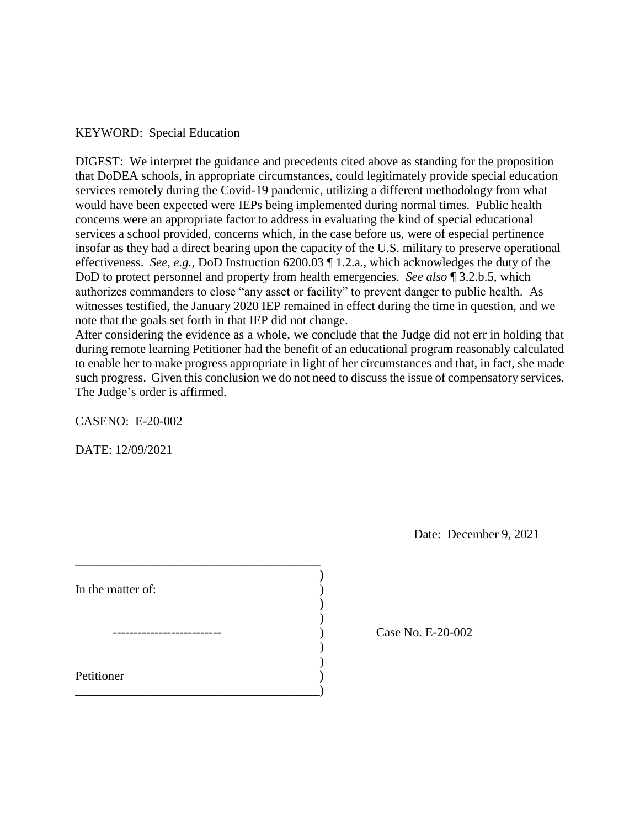## KEYWORD: Special Education

 DIGEST: We interpret the guidance and precedents cited above as standing for the proposition that DoDEA schools, in appropriate circumstances, could legitimately provide special education services remotely during the Covid-19 pandemic, utilizing a different methodology from what would have been expected were IEPs being implemented during normal times. Public health concerns were an appropriate factor to address in evaluating the kind of special educational services a school provided, concerns which, in the case before us, were of especial pertinence insofar as they had a direct bearing upon the capacity of the U.S. military to preserve operational effectiveness. *See, e.g.,* DoD Instruction 6200.03 ¶ 1.2.a., which acknowledges the duty of the DoD to protect personnel and property from health emergencies. *See also* ¶ 3.2.b.5, which authorizes commanders to close "any asset or facility" to prevent danger to public health. As witnesses testified, the January 2020 IEP remained in effect during the time in question, and we note that the goals set forth in that IEP did not change.

 After considering the evidence as a whole, we conclude that the Judge did not err in holding that during remote learning Petitioner had the benefit of an educational program reasonably calculated to enable her to make progress appropriate in light of her circumstances and that, in fact, she made such progress. Given this conclusion we do not need to discuss the issue of compensatory services. The Judge's order is affirmed.

CASENO: E-20-002

DATE: 12/09/2021

Date: December 9, 2021

| In the matter of: |  |
|-------------------|--|
|                   |  |
|                   |  |
|                   |  |
| Petitioner        |  |
|                   |  |
|                   |  |

Case No. E-20-002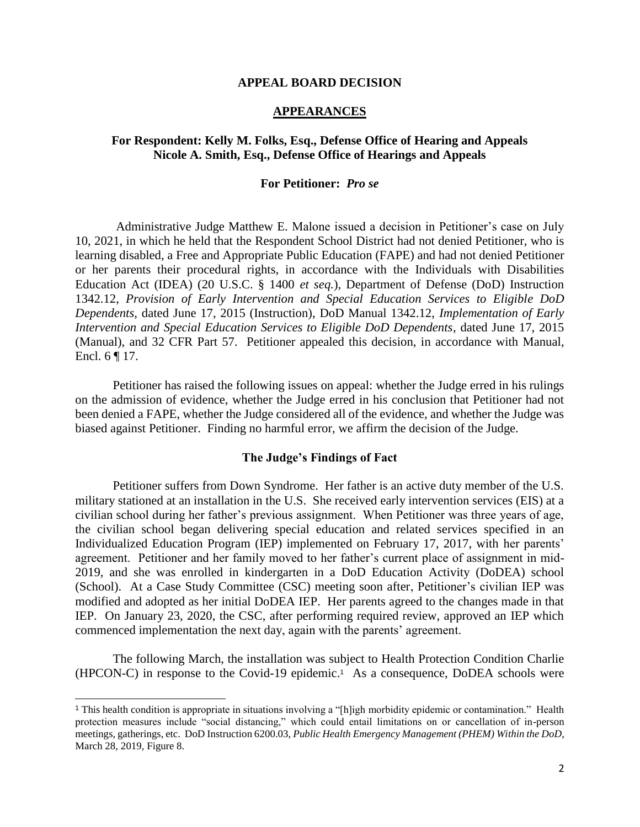#### **APPEAL BOARD DECISION**

### **APPEARANCES**

# **For Respondent: Kelly M. Folks, Esq., Defense Office of Hearing and Appeals Nicole A. Smith, Esq., Defense Office of Hearings and Appeals**

### **For Petitioner:** *Pro se*

 Administrative Judge Matthew E. Malone issued a decision in Petitioner's case on July Education Act (IDEA) (20 U.S.C. § 1400 *et seq.*), Department of Defense (DoD) Instruction  1342.12, *Provision of Early Intervention and Special Education Services to Eligible DoD Intervention and Special Education Services to Eligible DoD Dependents*, dated June 17, 2015 (Manual), and 32 CFR Part 57. Petitioner appealed this decision, in accordance with Manual, 10, 2021, in which he held that the Respondent School District had not denied Petitioner, who is learning disabled, a Free and Appropriate Public Education (FAPE) and had not denied Petitioner or her parents their procedural rights, in accordance with the Individuals with Disabilities *Dependents*, dated June 17, 2015 (Instruction), DoD Manual 1342.12, *Implementation of Early*  Encl.  $6 \nvert 17$ .

 on the admission of evidence, whether the Judge erred in his conclusion that Petitioner had not been denied a FAPE, whether the Judge considered all of the evidence, and whether the Judge was Petitioner has raised the following issues on appeal: whether the Judge erred in his rulings biased against Petitioner. Finding no harmful error, we affirm the decision of the Judge.

#### **The Judge's Findings of Fact**

 Petitioner suffers from Down Syndrome. Her father is an active duty member of the U.S. civilian school during her father's previous assignment. When Petitioner was three years of age, 2019, and she was enrolled in kindergarten in a DoD Education Activity (DoDEA) school (School). At a Case Study Committee (CSC) meeting soon after, Petitioner's civilian IEP was modified and adopted as her initial DoDEA IEP. Her parents agreed to the changes made in that IEP. On January 23, 2020, the CSC, after performing required review, approved an IEP which military stationed at an installation in the U.S. She received early intervention services (EIS) at a the civilian school began delivering special education and related services specified in an Individualized Education Program (IEP) implemented on February 17, 2017, with her parents' agreement. Petitioner and her family moved to her father's current place of assignment in midcommenced implementation the next day, again with the parents' agreement.

 The following March, the installation was subject to Health Protection Condition Charlie (HPCON-C) in response to the Covid-19 epidemic.1 As a consequence, DoDEA schools were

 $\overline{a}$ 

 <sup>1</sup>This health condition is appropriate in situations involving a "[h]igh morbidity epidemic or contamination." Health protection measures include "social distancing," which could entail limitations on or cancellation of in-person meetings, gatherings, etc. DoD Instruction 6200.03, *Public Health Emergency Management (PHEM) Within the DoD*, March 28, 2019, Figure 8.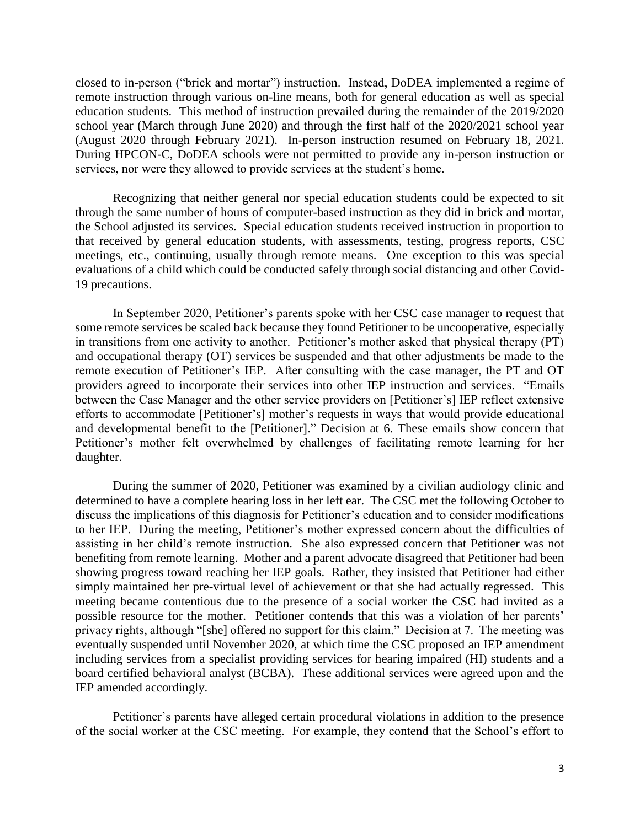closed to in-person ("brick and mortar") instruction. Instead, DoDEA implemented a regime of school year (March through June 2020) and through the first half of the 2020/2021 school year (August 2020 through February 2021). In-person instruction resumed on February 18, 2021. During HPCON-C, DoDEA schools were not permitted to provide any in-person instruction or remote instruction through various on-line means, both for general education as well as special education students. This method of instruction prevailed during the remainder of the 2019/2020 services, nor were they allowed to provide services at the student's home.

 Recognizing that neither general nor special education students could be expected to sit the School adjusted its services. Special education students received instruction in proportion to that received by general education students, with assessments, testing, progress reports, CSC meetings, etc., continuing, usually through remote means. One exception to this was special evaluations of a child which could be conducted safely through social distancing and other Covidthrough the same number of hours of computer-based instruction as they did in brick and mortar, 19 precautions.

 In September 2020, Petitioner's parents spoke with her CSC case manager to request that some remote services be scaled back because they found Petitioner to be uncooperative, especially in transitions from one activity to another. Petitioner's mother asked that physical therapy (PT) and occupational therapy (OT) services be suspended and that other adjustments be made to the remote execution of Petitioner's IEP. After consulting with the case manager, the PT and OT providers agreed to incorporate their services into other IEP instruction and services. "Emails efforts to accommodate [Petitioner's] mother's requests in ways that would provide educational and developmental benefit to the [Petitioner]." Decision at 6. These emails show concern that Petitioner's mother felt overwhelmed by challenges of facilitating remote learning for her between the Case Manager and the other service providers on [Petitioner's] IEP reflect extensive daughter.

 During the summer of 2020, Petitioner was examined by a civilian audiology clinic and determined to have a complete hearing loss in her left ear. The CSC met the following October to to her IEP. During the meeting, Petitioner's mother expressed concern about the difficulties of assisting in her child's remote instruction. She also expressed concern that Petitioner was not benefiting from remote learning. Mother and a parent advocate disagreed that Petitioner had been showing progress toward reaching her IEP goals. Rather, they insisted that Petitioner had either simply maintained her pre-virtual level of achievement or that she had actually regressed. This meeting became contentious due to the presence of a social worker the CSC had invited as a possible resource for the mother. Petitioner contends that this was a violation of her parents' privacy rights, although "[she] offered no support for this claim." Decision at 7. The meeting was eventually suspended until November 2020, at which time the CSC proposed an IEP amendment including services from a specialist providing services for hearing impaired (HI) students and a board certified behavioral analyst (BCBA). These additional services were agreed upon and the discuss the implications of this diagnosis for Petitioner's education and to consider modifications IEP amended accordingly.

 Petitioner's parents have alleged certain procedural violations in addition to the presence of the social worker at the CSC meeting. For example, they contend that the School's effort to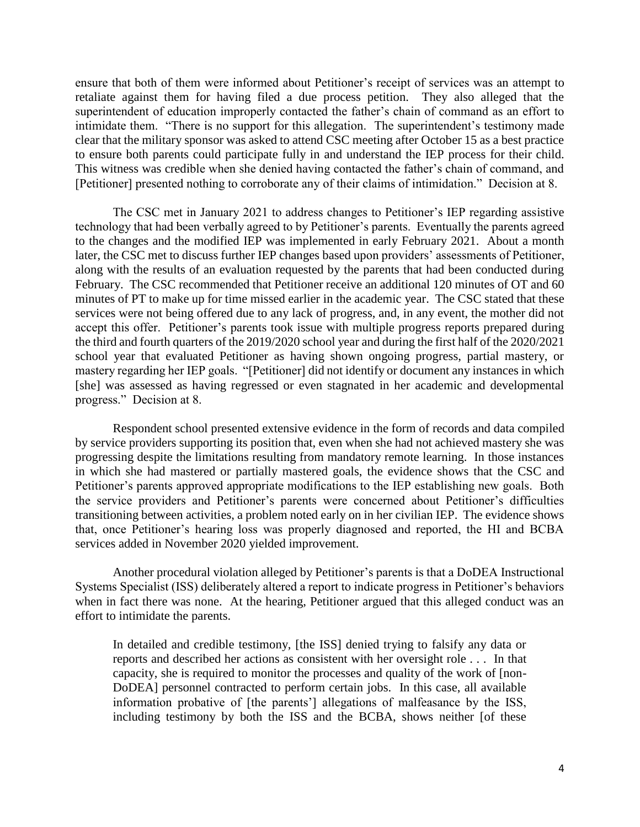ensure that both of them were informed about Petitioner's receipt of services was an attempt to retaliate against them for having filed a due process petition. They also alleged that the superintendent of education improperly contacted the father's chain of command as an effort to intimidate them. "There is no support for this allegation. The superintendent's testimony made clear that the military sponsor was asked to attend CSC meeting after October 15 as a best practice to ensure both parents could participate fully in and understand the IEP process for their child. This witness was credible when she denied having contacted the father's chain of command, and [Petitioner] presented nothing to corroborate any of their claims of intimidation." Decision at 8.

 The CSC met in January 2021 to address changes to Petitioner's IEP regarding assistive technology that had been verbally agreed to by Petitioner's parents. Eventually the parents agreed to the changes and the modified IEP was implemented in early February 2021. About a month later, the CSC met to discuss further IEP changes based upon providers' assessments of Petitioner, February. The CSC recommended that Petitioner receive an additional 120 minutes of OT and 60 minutes of PT to make up for time missed earlier in the academic year. The CSC stated that these services were not being offered due to any lack of progress, and, in any event, the mother did not mastery regarding her IEP goals. "[Petitioner] did not identify or document any instances in which along with the results of an evaluation requested by the parents that had been conducted during accept this offer. Petitioner's parents took issue with multiple progress reports prepared during the third and fourth quarters of the 2019/2020 school year and during the first half of the 2020/2021 school year that evaluated Petitioner as having shown ongoing progress, partial mastery, or [she] was assessed as having regressed or even stagnated in her academic and developmental progress." Decision at 8.

 by service providers supporting its position that, even when she had not achieved mastery she was progressing despite the limitations resulting from mandatory remote learning. In those instances in which she had mastered or partially mastered goals, the evidence shows that the CSC and Petitioner's parents approved appropriate modifications to the IEP establishing new goals. Both transitioning between activities, a problem noted early on in her civilian IEP. The evidence shows that, once Petitioner's hearing loss was properly diagnosed and reported, the HI and BCBA Respondent school presented extensive evidence in the form of records and data compiled the service providers and Petitioner's parents were concerned about Petitioner's difficulties services added in November 2020 yielded improvement.

 Systems Specialist (ISS) deliberately altered a report to indicate progress in Petitioner's behaviors when in fact there was none. At the hearing, Petitioner argued that this alleged conduct was an Another procedural violation alleged by Petitioner's parents is that a DoDEA Instructional effort to intimidate the parents.

 In detailed and credible testimony, [the ISS] denied trying to falsify any data or DoDEA] personnel contracted to perform certain jobs. In this case, all available information probative of [the parents'] allegations of malfeasance by the ISS, including testimony by both the ISS and the BCBA, shows neither [of these reports and described her actions as consistent with her oversight role . . . In that capacity, she is required to monitor the processes and quality of the work of [non-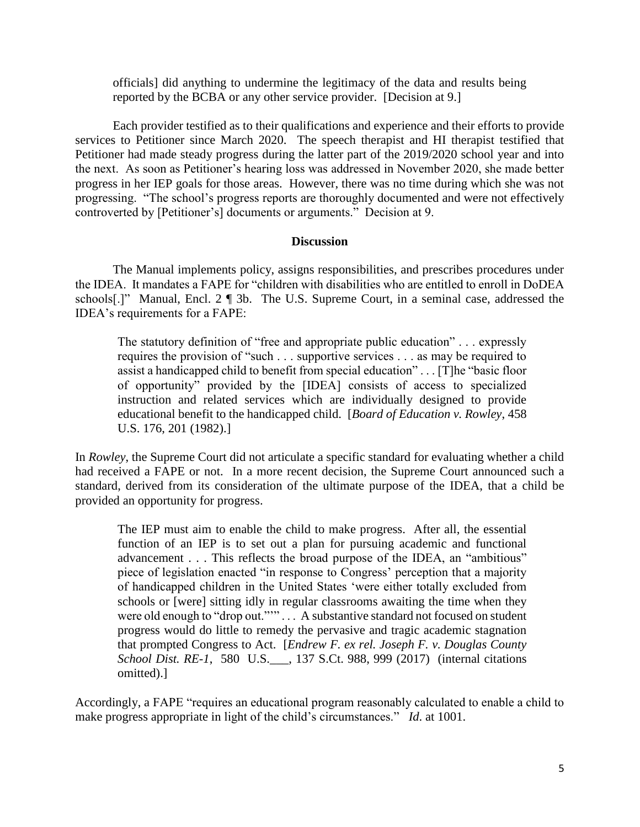officials] did anything to undermine the legitimacy of the data and results being reported by the BCBA or any other service provider. [Decision at 9.]

 Each provider testified as to their qualifications and experience and their efforts to provide services to Petitioner since March 2020. The speech therapist and HI therapist testified that Petitioner had made steady progress during the latter part of the 2019/2020 school year and into the next. As soon as Petitioner's hearing loss was addressed in November 2020, she made better progress in her IEP goals for those areas. However, there was no time during which she was not progressing. "The school's progress reports are thoroughly documented and were not effectively controverted by [Petitioner's] documents or arguments." Decision at 9.

# **Discussion**

 The Manual implements policy, assigns responsibilities, and prescribes procedures under the IDEA. It mandates a FAPE for "children with disabilities who are entitled to enroll in DoDEA schools[.]" Manual, Encl. 2 ¶ 3b. The U.S. Supreme Court, in a seminal case, addressed the IDEA's requirements for a FAPE:

 The statutory definition of "free and appropriate public education" . . . expressly requires the provision of "such . . . supportive services . . . as may be required to assist a handicapped child to benefit from special education" . . . [T]he "basic floor of opportunity" provided by the [IDEA] consists of access to specialized instruction and related services which are individually designed to provide educational benefit to the handicapped child. [*Board of Education v. Rowley*, 458 U.S. 176, 201 (1982).]

 had received a FAPE or not. In a more recent decision, the Supreme Court announced such a standard, derived from its consideration of the ultimate purpose of the IDEA, that a child be provided an opportunity for progress. In *Rowley*, the Supreme Court did not articulate a specific standard for evaluating whether a child

 The IEP must aim to enable the child to make progress. After all, the essential function of an IEP is to set out a plan for pursuing academic and functional piece of legislation enacted "in response to Congress' perception that a majority of handicapped children in the United States 'were either totally excluded from schools or [were] sitting idly in regular classrooms awaiting the time when they progress would do little to remedy the pervasive and tragic academic stagnation that prompted Congress to Act. [*Endrew F. ex rel. Joseph F. v. Douglas County School Dist. RE-1*, 580 U.S.\_\_\_, 137 S.Ct. 988, 999 (2017) (internal citations advancement . . . This reflects the broad purpose of the IDEA, an "ambitious" were old enough to "drop out.""" . . . A substantive standard not focused on student omitted).]

 make progress appropriate in light of the child's circumstances." *Id*. at 1001. Accordingly, a FAPE "requires an educational program reasonably calculated to enable a child to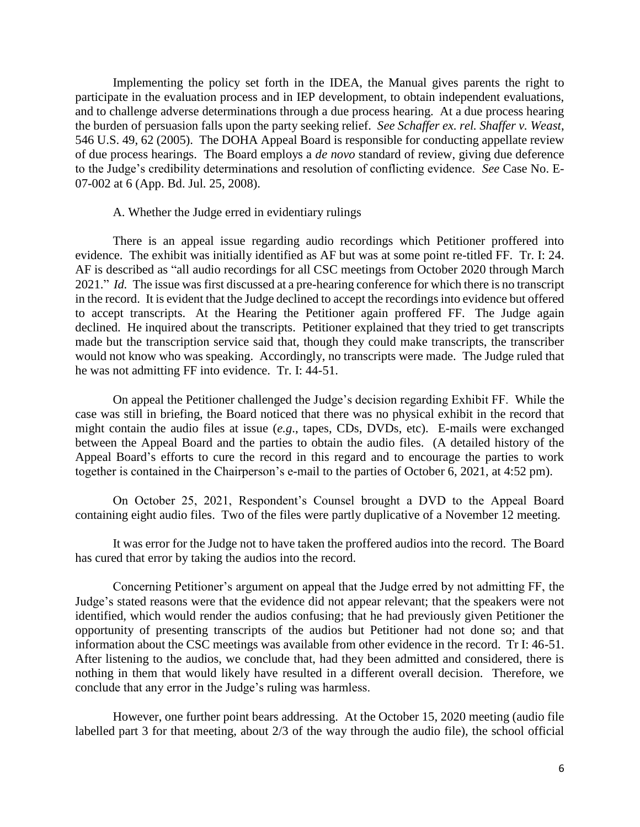Implementing the policy set forth in the IDEA, the Manual gives parents the right to participate in the evaluation process and in IEP development, to obtain independent evaluations, the burden of persuasion falls upon the party seeking relief. *See Schaffer ex. rel. Shaffer v. Weast*, of due process hearings. The Board employs a *de novo* standard of review, giving due deference to the Judge's credibility determinations and resolution of conflicting evidence. *See* Case No. Eand to challenge adverse determinations through a due process hearing. At a due process hearing 546 U.S. 49, 62 (2005). The DOHA Appeal Board is responsible for conducting appellate review 07-002 at 6 (App. Bd. Jul. 25, 2008).

### A. Whether the Judge erred in evidentiary rulings

 There is an appeal issue regarding audio recordings which Petitioner proffered into evidence. The exhibit was initially identified as AF but was at some point re-titled FF. Tr. I: 24. AF is described as "all audio recordings for all CSC meetings from October 2020 through March 2021." *Id.* The issue was first discussed at a pre-hearing conference for which there is no transcript in the record. It is evident that the Judge declined to accept the recordings into evidence but offered to accept transcripts. At the Hearing the Petitioner again proffered FF. The Judge again made but the transcription service said that, though they could make transcripts, the transcriber would not know who was speaking. Accordingly, no transcripts were made. The Judge ruled that he was not admitting FF into evidence. Tr. I: 44-51. declined. He inquired about the transcripts. Petitioner explained that they tried to get transcripts

 On appeal the Petitioner challenged the Judge's decision regarding Exhibit FF. While the case was still in briefing, the Board noticed that there was no physical exhibit in the record that might contain the audio files at issue (*e.g*., tapes, CDs, DVDs, etc). E-mails were exchanged between the Appeal Board and the parties to obtain the audio files. (A detailed history of the Appeal Board's efforts to cure the record in this regard and to encourage the parties to work together is contained in the Chairperson's e-mail to the parties of October 6, 2021, at 4:52 pm).

 On October 25, 2021, Respondent's Counsel brought a DVD to the Appeal Board containing eight audio files. Two of the files were partly duplicative of a November 12 meeting.

 It was error for the Judge not to have taken the proffered audios into the record. The Board has cured that error by taking the audios into the record.

 Concerning Petitioner's argument on appeal that the Judge erred by not admitting FF, the identified, which would render the audios confusing; that he had previously given Petitioner the information about the CSC meetings was available from other evidence in the record. Tr I: 46-51. After listening to the audios, we conclude that, had they been admitted and considered, there is nothing in them that would likely have resulted in a different overall decision. Therefore, we Judge's stated reasons were that the evidence did not appear relevant; that the speakers were not opportunity of presenting transcripts of the audios but Petitioner had not done so; and that conclude that any error in the Judge's ruling was harmless.

 However, one further point bears addressing. At the October 15, 2020 meeting (audio file labelled part 3 for that meeting, about 2/3 of the way through the audio file), the school official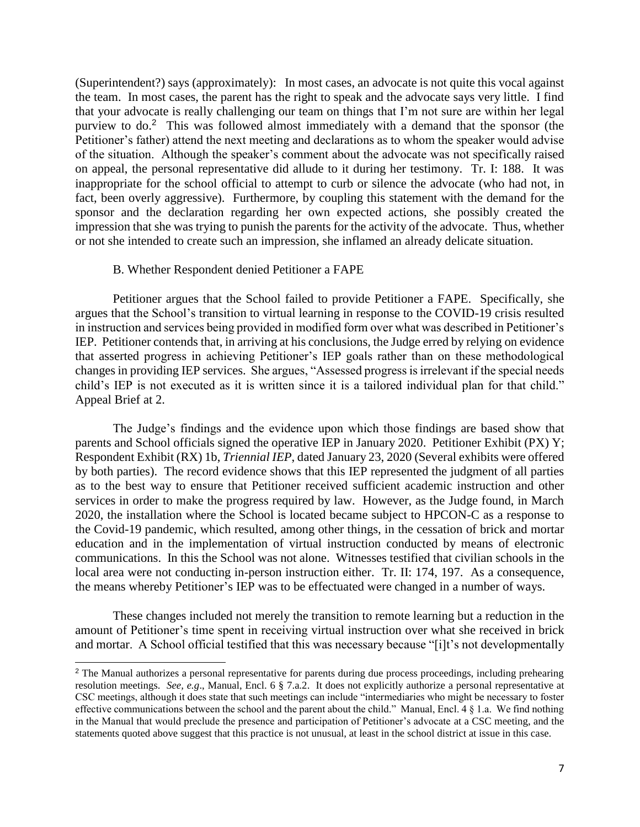(Superintendent?) says (approximately): In most cases, an advocate is not quite this vocal against the team. In most cases, the parent has the right to speak and the advocate says very little. I find that your advocate is really challenging our team on things that I'm not sure are within her legal purview to do.<sup>2</sup> This was followed almost immediately with a demand that the sponsor (the on appeal, the personal representative did allude to it during her testimony. Tr. I: 188. It was fact, been overly aggressive). Furthermore, by coupling this statement with the demand for the sponsor and the declaration regarding her own expected actions, she possibly created the impression that she was trying to punish the parents for the activity of the advocate. Thus, whether Petitioner's father) attend the next meeting and declarations as to whom the speaker would advise of the situation. Although the speaker's comment about the advocate was not specifically raised inappropriate for the school official to attempt to curb or silence the advocate (who had not, in or not she intended to create such an impression, she inflamed an already delicate situation.

#### B. Whether Respondent denied Petitioner a FAPE

 $\overline{a}$ 

 Petitioner argues that the School failed to provide Petitioner a FAPE. Specifically, she IEP. Petitioner contends that, in arriving at his conclusions, the Judge erred by relying on evidence that asserted progress in achieving Petitioner's IEP goals rather than on these methodological changes in providing IEP services. She argues, "Assessed progress is irrelevant if the special needs child's IEP is not executed as it is written since it is a tailored individual plan for that child." argues that the School's transition to virtual learning in response to the COVID-19 crisis resulted in instruction and services being provided in modified form over what was described in Petitioner's Appeal Brief at 2.

 parents and School officials signed the operative IEP in January 2020. Petitioner Exhibit (PX) Y; Respondent Exhibit (RX) 1b, *Triennial IEP*, dated January 23, 2020 (Several exhibits were offered by both parties). The record evidence shows that this IEP represented the judgment of all parties as to the best way to ensure that Petitioner received sufficient academic instruction and other services in order to make the progress required by law. However, as the Judge found, in March 2020, the installation where the School is located became subject to HPCON-C as a response to communications. In this the School was not alone. Witnesses testified that civilian schools in the local area were not conducting in-person instruction either. Tr. II: 174, 197. As a consequence, The Judge's findings and the evidence upon which those findings are based show that the Covid-19 pandemic, which resulted, among other things, in the cessation of brick and mortar education and in the implementation of virtual instruction conducted by means of electronic the means whereby Petitioner's IEP was to be effectuated were changed in a number of ways.

 and mortar. A School official testified that this was necessary because "[i]t's not developmentally These changes included not merely the transition to remote learning but a reduction in the amount of Petitioner's time spent in receiving virtual instruction over what she received in brick

<sup>&</sup>lt;sup>2</sup> The Manual authorizes a personal representative for parents during due process proceedings, including prehearing resolution meetings. *See, e.g*., Manual, Encl. 6 § 7.a.2. It does not explicitly authorize a personal representative at CSC meetings, although it does state that such meetings can include "intermediaries who might be necessary to foster effective communications between the school and the parent about the child." Manual, Encl. 4 § 1.a. We find nothing in the Manual that would preclude the presence and participation of Petitioner's advocate at a CSC meeting, and the statements quoted above suggest that this practice is not unusual, at least in the school district at issue in this case.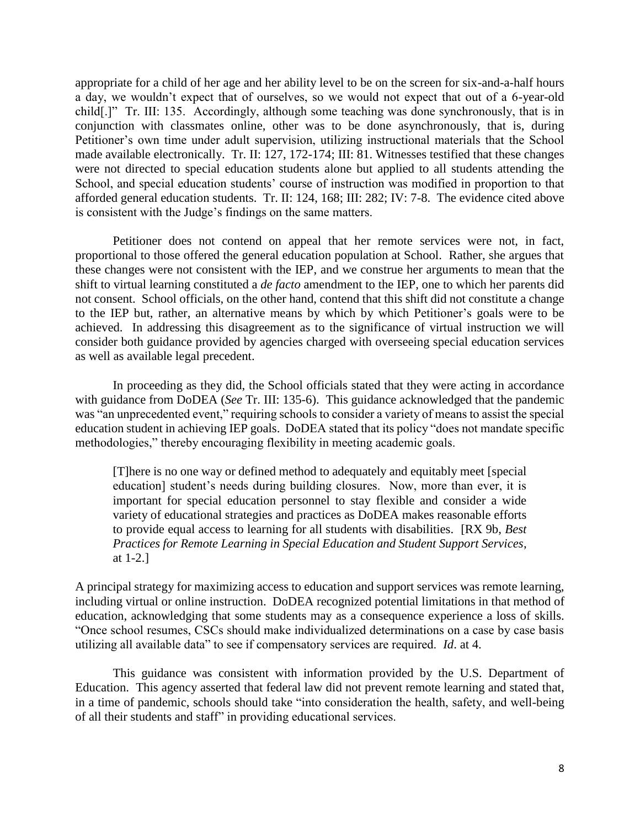appropriate for a child of her age and her ability level to be on the screen for six-and-a-half hours a day, we wouldn't expect that of ourselves, so we would not expect that out of a 6-year-old child[.]" Tr. III: 135. Accordingly, although some teaching was done synchronously, that is in conjunction with classmates online, other was to be done asynchronously, that is, during were not directed to special education students alone but applied to all students attending the School, and special education students' course of instruction was modified in proportion to that afforded general education students. Tr. II: 124, 168; III: 282; IV: 7-8. The evidence cited above is consistent with the Judge's findings on the same matters. Petitioner's own time under adult supervision, utilizing instructional materials that the School made available electronically. Tr. II: 127, 172-174; III: 81. Witnesses testified that these changes

 proportional to those offered the general education population at School. Rather, she argues that these changes were not consistent with the IEP, and we construe her arguments to mean that the not consent. School officials, on the other hand, contend that this shift did not constitute a change to the IEP but, rather, an alternative means by which by which Petitioner's goals were to be achieved. In addressing this disagreement as to the significance of virtual instruction we will consider both guidance provided by agencies charged with overseeing special education services Petitioner does not contend on appeal that her remote services were not, in fact, shift to virtual learning constituted a *de facto* amendment to the IEP, one to which her parents did as well as available legal precedent.

 In proceeding as they did, the School officials stated that they were acting in accordance with guidance from DoDEA (*See* Tr. III: 135-6). This guidance acknowledged that the pandemic was "an unprecedented event," requiring schools to consider a variety of means to assist the special education student in achieving IEP goals. DoDEA stated that its policy "does not mandate specific methodologies," thereby encouraging flexibility in meeting academic goals.

 [T]here is no one way or defined method to adequately and equitably meet [special education] student's needs during building closures. Now, more than ever, it is important for special education personnel to stay flexible and consider a wide to provide equal access to learning for all students with disabilities. [RX 9b, *Best Practices for Remote Learning in Special Education and Student Support Services*, variety of educational strategies and practices as DoDEA makes reasonable efforts at 1-2.]

 A principal strategy for maximizing access to education and support services was remote learning, education, acknowledging that some students may as a consequence experience a loss of skills. "Once school resumes, CSCs should make individualized determinations on a case by case basis including virtual or online instruction. DoDEA recognized potential limitations in that method of utilizing all available data" to see if compensatory services are required. *Id*. at 4.

 Education. This agency asserted that federal law did not prevent remote learning and stated that, This guidance was consistent with information provided by the U.S. Department of in a time of pandemic, schools should take "into consideration the health, safety, and well-being of all their students and staff" in providing educational services.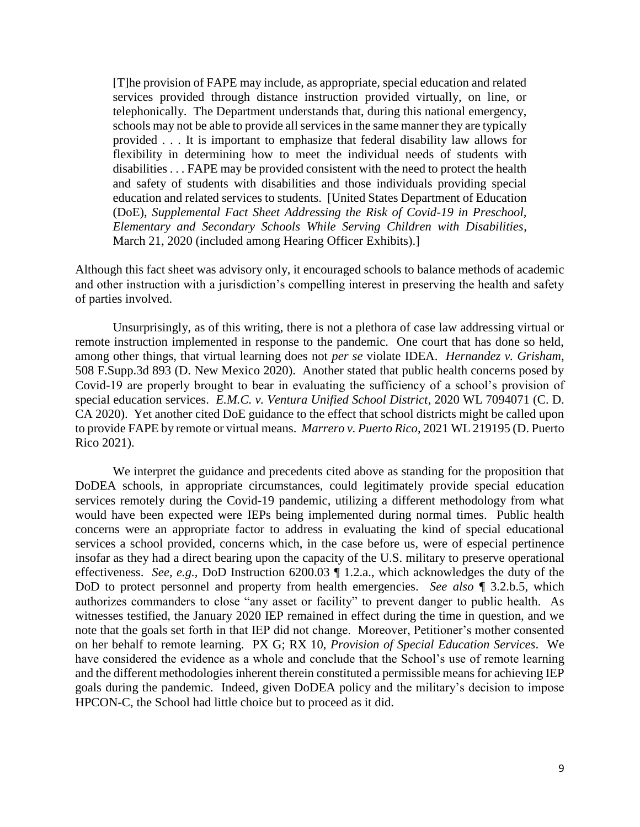telephonically. The Department understands that, during this national emergency, schools may not be able to provide all services in the same manner they are typically disabilities . . . FAPE may be provided consistent with the need to protect the health  *Elementary and Secondary Schools While Serving Children with Disabilities*, March 21, 2020 (included among Hearing Officer Exhibits).] [T]he provision of FAPE may include, as appropriate, special education and related services provided through distance instruction provided virtually, on line, or provided . . . It is important to emphasize that federal disability law allows for flexibility in determining how to meet the individual needs of students with and safety of students with disabilities and those individuals providing special education and related services to students. [United States Department of Education (DoE), *Supplemental Fact Sheet Addressing the Risk of Covid-19 in Preschool,* 

 Although this fact sheet was advisory only, it encouraged schools to balance methods of academic and other instruction with a jurisdiction's compelling interest in preserving the health and safety of parties involved.

 Unsurprisingly, as of this writing, there is not a plethora of case law addressing virtual or remote instruction implemented in response to the pandemic. One court that has done so held, among other things, that virtual learning does not *per se* violate IDEA. *Hernandez v. Grisham*, 508 F.Supp.3d 893 (D. New Mexico 2020). Another stated that public health concerns posed by Covid-19 are properly brought to bear in evaluating the sufficiency of a school's provision of CA 2020). Yet another cited DoE guidance to the effect that school districts might be called upon to provide FAPE by remote or virtual means. *Marrero v. Puerto Rico*, 2021 WL 219195 (D. Puerto special education services. *E.M.C. v. Ventura Unified School District*, 2020 WL 7094071 (C. D. Rico 2021).

 We interpret the guidance and precedents cited above as standing for the proposition that services remotely during the Covid-19 pandemic, utilizing a different methodology from what would have been expected were IEPs being implemented during normal times. Public health services a school provided, concerns which, in the case before us, were of especial pertinence authorizes commanders to close "any asset or facility" to prevent danger to public health. As witnesses testified, the January 2020 IEP remained in effect during the time in question, and we note that the goals set forth in that IEP did not change. Moreover, Petitioner's mother consented on her behalf to remote learning. PX G; RX 10, *Provision of Special Education Services*. We have considered the evidence as a whole and conclude that the School's use of remote learning and the different methodologies inherent therein constituted a permissible means for achieving IEP goals during the pandemic. Indeed, given DoDEA policy and the military's decision to impose HPCON-C, the School had little choice but to proceed as it did. DoDEA schools, in appropriate circumstances, could legitimately provide special education concerns were an appropriate factor to address in evaluating the kind of special educational insofar as they had a direct bearing upon the capacity of the U.S. military to preserve operational effectiveness. *See, e.g.,* DoD Instruction 6200.03 ¶ 1.2.a., which acknowledges the duty of the DoD to protect personnel and property from health emergencies. *See also* ¶ 3.2.b.5, which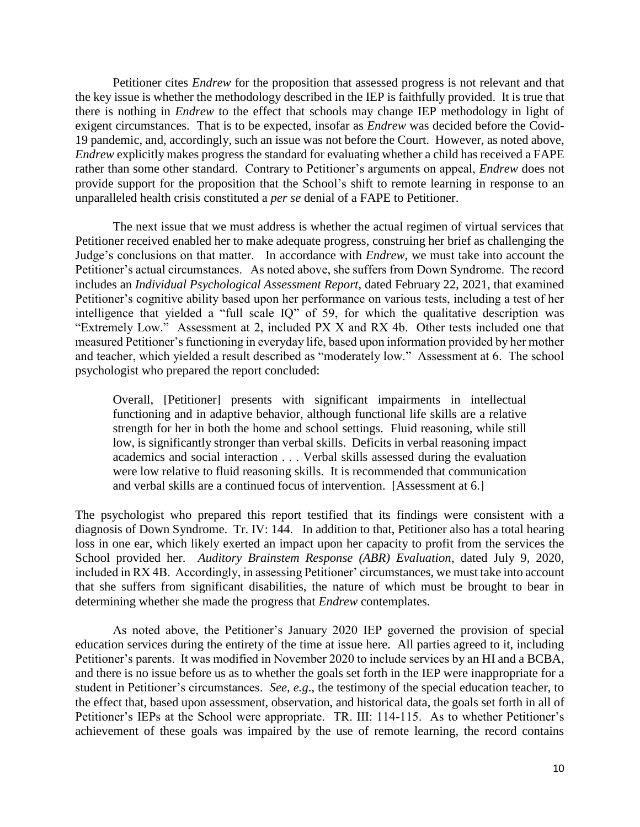the key issue is whether the methodology described in the IEP is faithfully provided. It is true that there is nothing in *Endrew* to the effect that schools may change IEP methodology in light of exigent circumstances. That is to be expected, insofar as *Endrew* was decided before the Covid- 19 pandemic, and, accordingly, such an issue was not before the Court. However, as noted above, *Endrew* explicitly makes progress the standard for evaluating whether a child has received a FAPE provide support for the proposition that the School's shift to remote learning in response to an unparalleled health crisis constituted a *per se* denial of a FAPE to Petitioner. unparalleled health crisis constituted a *per se* denial of a FAPE to Petitioner. The next issue that we must address is whether the actual regimen of virtual services that Petitioner cites *Endrew* for the proposition that assessed progress is not relevant and that rather than some other standard. Contrary to Petitioner's arguments on appeal, *Endrew* does not

 Petitioner received enabled her to make adequate progress, construing her brief as challenging the Judge's conclusions on that matter. In accordance with *Endrew,* we must take into account the Petitioner's actual circumstances. As noted above, she suffers from Down Syndrome. The record Petitioner's cognitive ability based upon her performance on various tests, including a test of her intelligence that yielded a "full scale IQ" of 59, for which the qualitative description was "Extremely Low." Assessment at 2, included PX X and RX 4b. Other tests included one that measured Petitioner's functioning in everyday life, based upon information provided by her mother and teacher, which yielded a result described as "moderately low." Assessment at 6. The school includes an *Individual Psychological Assessment Report*, dated February 22, 2021, that examined psychologist who prepared the report concluded:

 functioning and in adaptive behavior, although functional life skills are a relative strength for her in both the home and school settings. Fluid reasoning, while still and verbal skills are a continued focus of intervention. [Assessment at 6.] Overall, [Petitioner] presents with significant impairments in intellectual low, is significantly stronger than verbal skills. Deficits in verbal reasoning impact academics and social interaction . . . Verbal skills assessed during the evaluation were low relative to fluid reasoning skills. It is recommended that communication

 loss in one ear, which likely exerted an impact upon her capacity to profit from the services the School provided her. *Auditory Brainstem Response (ABR) Evaluation*, dated July 9, 2020, included in RX 4B. Accordingly, in assessing Petitioner' circumstances, we must take into account that she suffers from significant disabilities, the nature of which must be brought to bear in The psychologist who prepared this report testified that its findings were consistent with a diagnosis of Down Syndrome. Tr. IV: 144. In addition to that, Petitioner also has a total hearing determining whether she made the progress that *Endrew* contemplates.

 As noted above, the Petitioner's January 2020 IEP governed the provision of special education services during the entirety of the time at issue here. All parties agreed to it, including Petitioner's parents. It was modified in November 2020 to include services by an HI and a BCBA, and there is no issue before us as to whether the goals set forth in the IEP were inappropriate for a student in Petitioner's circumstances. *See, e.g*., the testimony of the special education teacher, to Petitioner's IEPs at the School were appropriate. TR. III: 114-115. As to whether Petitioner's achievement of these goals was impaired by the use of remote learning, the record contains the effect that, based upon assessment, observation, and historical data, the goals set forth in all of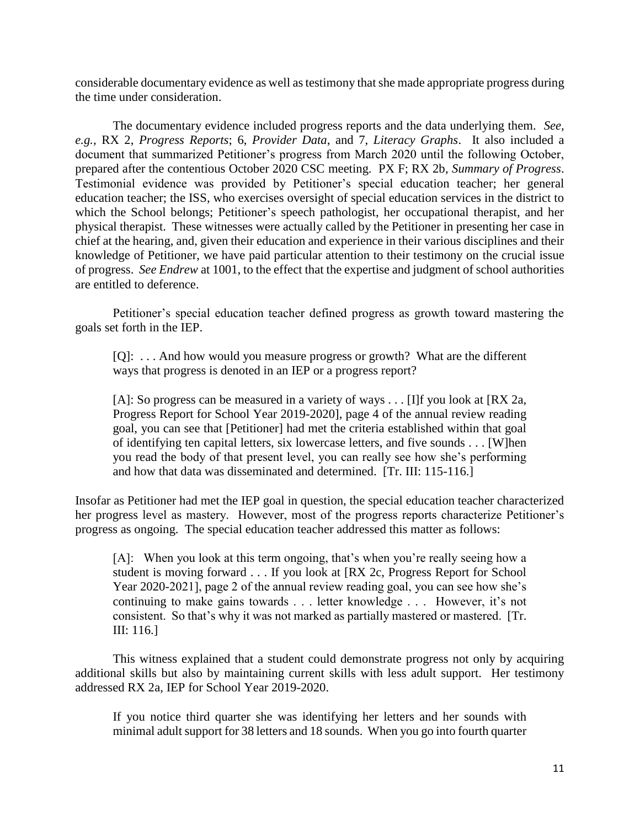considerable documentary evidence as well as testimony that she made appropriate progress during the time under consideration.

 The documentary evidence included progress reports and the data underlying them. *See,*  document that summarized Petitioner's progress from March 2020 until the following October, prepared after the contentious October 2020 CSC meeting. PX F; RX 2b, *Summary of Progress*. physical therapist. These witnesses were actually called by the Petitioner in presenting her case in chief at the hearing, and, given their education and experience in their various disciplines and their knowledge of Petitioner, we have paid particular attention to their testimony on the crucial issue of progress. *See Endrew* at 1001, to the effect that the expertise and judgment of school authorities *e.g.,* RX 2, *Progress Reports*; 6, *Provider Data*, and 7, *Literacy Graphs*. It also included a Testimonial evidence was provided by Petitioner's special education teacher; her general education teacher; the ISS, who exercises oversight of special education services in the district to which the School belongs; Petitioner's speech pathologist, her occupational therapist, and her are entitled to deference.

 Petitioner's special education teacher defined progress as growth toward mastering the goals set forth in the IEP. goals set forth in the IEP.<br>[Q]: ... And how would you measure progress or growth? What are the different

ways that progress is denoted in an IEP or a progress report?

 [A]: So progress can be measured in a variety of ways . . . [I]f you look at [RX 2a, of identifying ten capital letters, six lowercase letters, and five sounds . . . [W]hen you read the body of that present level, you can really see how she's performing Progress Report for School Year 2019-2020], page 4 of the annual review reading goal, you can see that [Petitioner] had met the criteria established within that goal and how that data was disseminated and determined. [Tr. III: 115-116.]

 her progress level as mastery. However, most of the progress reports characterize Petitioner's Insofar as Petitioner had met the IEP goal in question, the special education teacher characterized progress as ongoing. The special education teacher addressed this matter as follows:

[A]: When you look at this term ongoing, that's when you're really seeing how a Year 2020-2021], page 2 of the annual review reading goal, you can see how she's continuing to make gains towards . . . letter knowledge . . . However, it's not consistent. So that's why it was not marked as partially mastered or mastered. [Tr. student is moving forward . . . If you look at [RX 2c, Progress Report for School III: 116.]

 This witness explained that a student could demonstrate progress not only by acquiring additional skills but also by maintaining current skills with less adult support. Her testimony addressed RX 2a, IEP for School Year 2019-2020.

 minimal adult support for 38 letters and 18 sounds. When you go into fourth quarter If you notice third quarter she was identifying her letters and her sounds with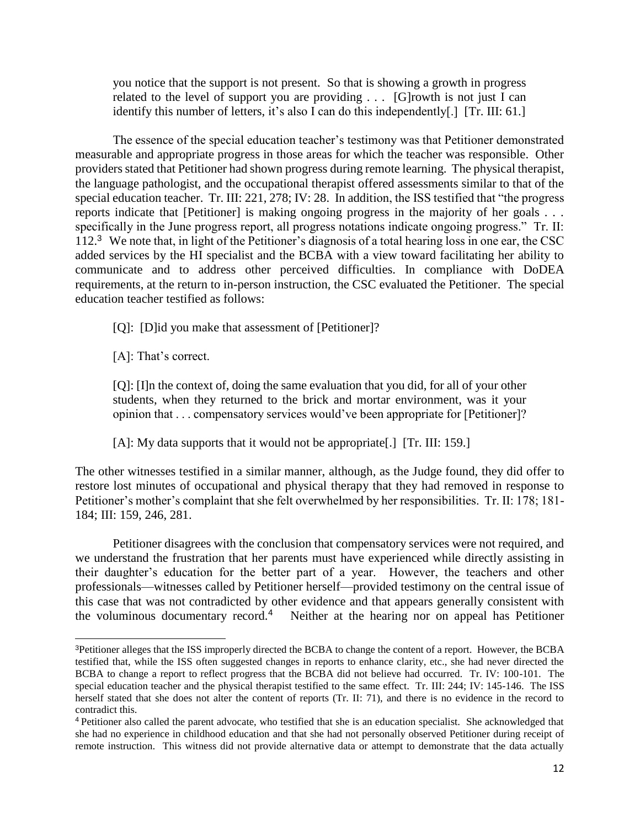you notice that the support is not present. So that is showing a growth in progress related to the level of support you are providing . . . [G]rowth is not just I can identify this number of letters, it's also I can do this independently[.] [Tr. III: 61.]

 measurable and appropriate progress in those areas for which the teacher was responsible. Other providers stated that Petitioner had shown progress during remote learning. The physical therapist, the language pathologist, and the occupational therapist offered assessments similar to that of the special education teacher. Tr. III: 221, 278; IV: 28. In addition, the ISS testified that "the progress reports indicate that [Petitioner] is making ongoing progress in the majority of her goals . . . specifically in the June progress report, all progress notations indicate ongoing progress." Tr. II: 112.<sup>3</sup> We note that, in light of the Petitioner's diagnosis of a total hearing loss in one ear, the CSC added services by the HI specialist and the BCBA with a view toward facilitating her ability to education teacher testified as follows: The essence of the special education teacher's testimony was that Petitioner demonstrated communicate and to address other perceived difficulties. In compliance with DoDEA requirements, at the return to in-person instruction, the CSC evaluated the Petitioner. The special

[Q]: [D]id you make that assessment of [Petitioner]?

[A]: That's correct.

l

 [Q]: [I]n the context of, doing the same evaluation that you did, for all of your other students, when they returned to the brick and mortar environment, was it your opinion that . . . compensatory services would've been appropriate for [Petitioner]?

[A]: My data supports that it would not be appropriate[.] [Tr. III: 159.]

 The other witnesses testified in a similar manner, although, as the Judge found, they did offer to restore lost minutes of occupational and physical therapy that they had removed in response to Petitioner's mother's complaint that she felt overwhelmed by her responsibilities. Tr. II: 178; 181- 184; III: 159, 246, 281.

 we understand the frustration that her parents must have experienced while directly assisting in their daughter's education for the better part of a year. However, the teachers and other professionals—witnesses called by Petitioner herself—provided testimony on the central issue of this case that was not contradicted by other evidence and that appears generally consistent with the voluminous documentary record.<sup>4</sup> Neither at the hearing nor on appeal has Petitioner Petitioner disagrees with the conclusion that compensatory services were not required, and

 <sup>3</sup>Petitioner alleges that the ISS improperly directed the BCBA to change the content of a report. However, the BCBA testified that, while the ISS often suggested changes in reports to enhance clarity, etc., she had never directed the BCBA to change a report to reflect progress that the BCBA did not believe had occurred. Tr. IV: 100-101. The special education teacher and the physical therapist testified to the same effect. Tr. III: 244; IV: 145-146. The ISS herself stated that she does not alter the content of reports (Tr. II: 71), and there is no evidence in the record to contradict this.

<sup>&</sup>lt;sup>4</sup> Petitioner also called the parent advocate, who testified that she is an education specialist. She acknowledged that she had no experience in childhood education and that she had not personally observed Petitioner during receipt of remote instruction. This witness did not provide alternative data or attempt to demonstrate that the data actually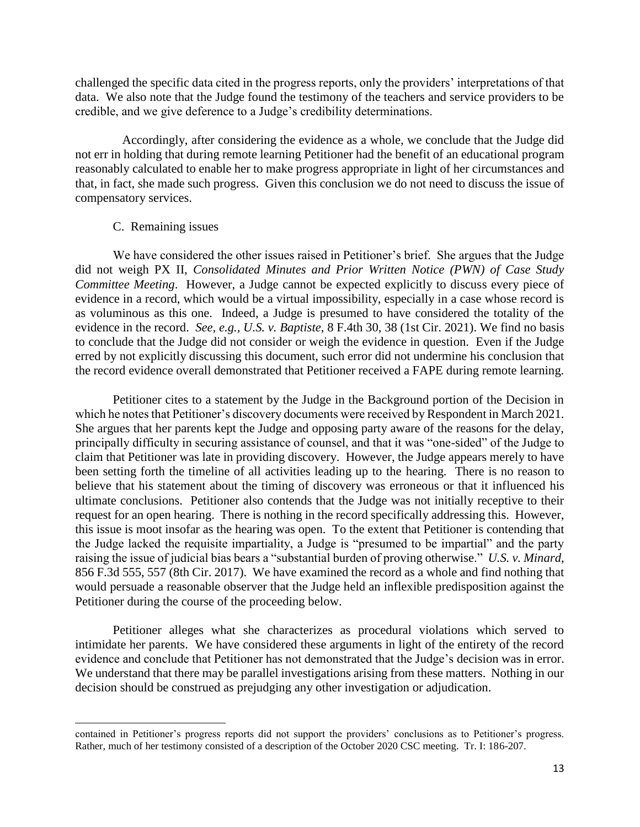challenged the specific data cited in the progress reports, only the providers' interpretations of that data. We also note that the Judge found the testimony of the teachers and service providers to be credible, and we give deference to a Judge's credibility determinations.

 not err in holding that during remote learning Petitioner had the benefit of an educational program that, in fact, she made such progress. Given this conclusion we do not need to discuss the issue of Accordingly, after considering the evidence as a whole, we conclude that the Judge did reasonably calculated to enable her to make progress appropriate in light of her circumstances and compensatory services.

### C. Remaining issues

 $\overline{a}$ 

 We have considered the other issues raised in Petitioner's brief. She argues that the Judge  did not weigh PX II, *Consolidated Minutes and Prior Written Notice (PWN) of Case Study Committee Meeting*. However, a Judge cannot be expected explicitly to discuss every piece of evidence in a record, which would be a virtual impossibility, especially in a case whose record is as voluminous as this one. Indeed, a Judge is presumed to have considered the totality of the to conclude that the Judge did not consider or weigh the evidence in question. Even if the Judge the record evidence overall demonstrated that Petitioner received a FAPE during remote learning. evidence in the record. *See, e.g., U.S. v. Baptiste*, 8 F.4th 30, 38 (1st Cir. 2021). We find no basis erred by not explicitly discussing this document, such error did not undermine his conclusion that

 Petitioner cites to a statement by the Judge in the Background portion of the Decision in which he notes that Petitioner's discovery documents were received by Respondent in March 2021. which he notes that Petitioner's discovery documents were received by Respondent in March 2021.<br>She argues that her parents kept the Judge and opposing party aware of the reasons for the delay, principally difficulty in securing assistance of counsel, and that it was "one-sided" of the Judge to claim that Petitioner was late in providing discovery. However, the Judge appears merely to have been setting forth the timeline of all activities leading up to the hearing. There is no reason to believe that his statement about the timing of discovery was erroneous or that it influenced his ultimate conclusions. Petitioner also contends that the Judge was not initially receptive to their request for an open hearing. There is nothing in the record specifically addressing this. However, the Judge lacked the requisite impartiality, a Judge is "presumed to be impartial" and the party raising the issue of judicial bias bears a "substantial burden of proving otherwise." *U.S. v. Minard*, 856 F.3d 555, 557 (8th Cir. 2017). We have examined the record as a whole and find nothing that would persuade a reasonable observer that the Judge held an inflexible predisposition against the this issue is moot insofar as the hearing was open. To the extent that Petitioner is contending that Petitioner during the course of the proceeding below.

 Petitioner alleges what she characterizes as procedural violations which served to intimidate her parents. We have considered these arguments in light of the entirety of the record We understand that there may be parallel investigations arising from these matters. Nothing in our decision should be construed as prejudging any other investigation or adjudication. evidence and conclude that Petitioner has not demonstrated that the Judge's decision was in error.

 contained in Petitioner's progress reports did not support the providers' conclusions as to Petitioner's progress. Rather, much of her testimony consisted of a description of the October 2020 CSC meeting. Tr. I: 186-207.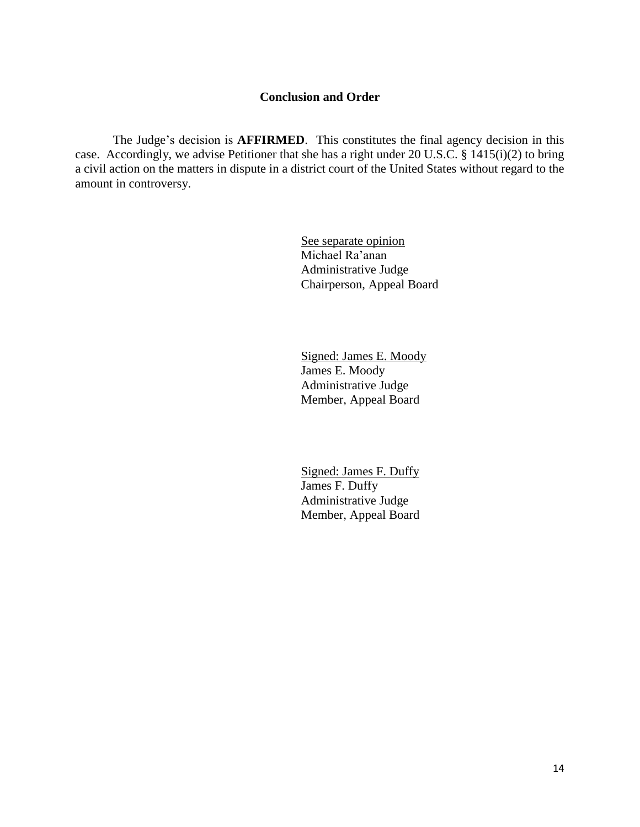# **Conclusion and Order**

The Judge's decision is **AFFIRMED**. This constitutes the final agency decision in this case. Accordingly, we advise Petitioner that she has a right under 20 U.S.C. § 1415(i)(2) to bring a civil action on the matters in dispute in a district court of the United States without regard to the amount in controversy.

> See separate opinion Michael Ra'anan Administrative Judge Chairperson, Appeal Board

Signed: James E. Moody James E. Moody Administrative Judge Member, Appeal Board

Signed: James F. Duffy James F. Duffy Administrative Judge Member, Appeal Board